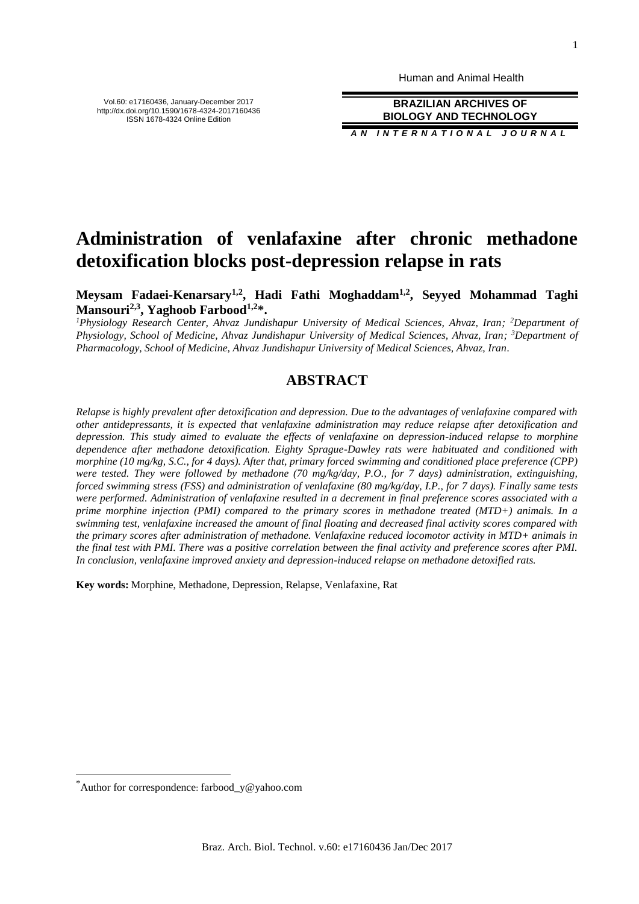Human and Animal Health

**BRAZILIAN ARCHIVES OF BIOLOGY AND TECHNOLOGY**

*A N I N T E R N A T I O N A L J O U R N A L*

# **Administration of venlafaxine after chronic methadone detoxification blocks post-depression relapse in rats**

**Meysam Fadaei-Kenarsary1,2 , Hadi Fathi Moghaddam1,2, Seyyed Mohammad Taghi Mansouri2,3, Yaghoob Farbood1,2\*.**

*<sup>1</sup>Physiology Research Center, Ahvaz Jundishapur University of Medical Sciences, Ahvaz, Iran; <sup>2</sup>Department of Physiology, School of Medicine, Ahvaz Jundishapur University of Medical Sciences, Ahvaz, Iran; <sup>3</sup>Department of Pharmacology, School of Medicine, Ahvaz Jundishapur University of Medical Sciences, Ahvaz, Iran.*

## **ABSTRACT**

*Relapse is highly prevalent after detoxification and depression. Due to the advantages of venlafaxine compared with other antidepressants, it is expected that venlafaxine administration may reduce relapse after detoxification and depression. This study aimed to evaluate the effects of venlafaxine on depression-induced relapse to morphine dependence after methadone detoxification. Eighty Sprague-Dawley rats were habituated and conditioned with morphine (10 mg/kg, S.C., for 4 days). After that, primary forced swimming and conditioned place preference (CPP) were tested. They were followed by methadone (70 mg/kg/day, P.O., for 7 days) administration, extinguishing, forced swimming stress (FSS) and administration of venlafaxine (80 mg/kg/day, I.P., for 7 days). Finally same tests were performed. Administration of venlafaxine resulted in a decrement in final preference scores associated with a prime morphine injection (PMI) compared to the primary scores in methadone treated (MTD+) animals. In a swimming test, venlafaxine increased the amount of final floating and decreased final activity scores compared with the primary scores after administration of methadone. Venlafaxine reduced locomotor activity in MTD+ animals in the final test with PMI. There was a positive correlation between the final activity and preference scores after PMI. In conclusion, venlafaxine improved anxiety and depression-induced relapse on methadone detoxified rats.*

**Key words:** Morphine, Methadone, Depression, Relapse, Venlafaxine, Rat

 $\overline{a}$ 

Vol.60: e17160436, January-December 2017 http://dx.doi.org/10.1590/1678-4324-2017160436 ISSN 1678-4324 Online Edition

<sup>\*</sup>Author for correspondence: farbood\_y@yahoo.com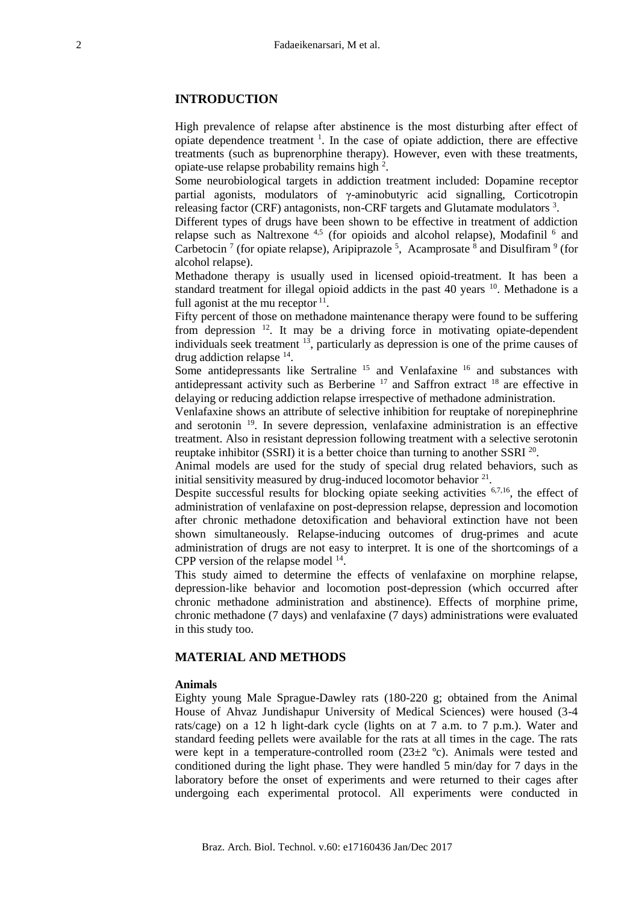## **INTRODUCTION**

High prevalence of relapse after abstinence is the most disturbing after effect of opiate dependence treatment  $\frac{1}{1}$ . In the case of opiate addiction, there are effective treatments (such as buprenorphine therapy). However, even with these treatments, opiate-use relapse probability remains high <sup>2</sup>.

Some neurobiological targets in addiction treatment included: Dopamine receptor partial agonists, modulators of γ-aminobutyric acid signalling, Corticotropin releasing factor (CRF) antagonists, non-CRF targets and Glutamate modulators  $3$ .

Different types of drugs have been shown to be effective in treatment of addiction relapse such as Naltrexone<sup>4,5</sup> (for opioids and alcohol relapse), Modafinil  $6$  and Carbetocin<sup>7</sup> (for opiate relapse), Aripiprazole<sup>5</sup>, Acamprosate<sup>8</sup> and Disulfiram<sup>9</sup> (for alcohol relapse).

Methadone therapy is usually used in licensed opioid-treatment. It has been a standard treatment for illegal opioid addicts in the past 40 years  $10$ . Methadone is a full agonist at the mu receptor  $11$ .

Fifty percent of those on methadone maintenance therapy were found to be suffering from depression <sup>12</sup>. It may be a driving force in motivating opiate-dependent individuals seek treatment  $13$ , particularly as depression is one of the prime causes of drug addiction relapse <sup>14</sup>.

Some antidepressants like Sertraline <sup>15</sup> and Venlafaxine <sup>16</sup> and substances with antidepressant activity such as Berberine <sup>17</sup> and Saffron extract <sup>18</sup> are effective in delaying or reducing addiction relapse irrespective of methadone administration.

Venlafaxine shows an attribute of selective inhibition for reuptake of norepinephrine and serotonin <sup>19</sup>. In severe depression, venlafaxine administration is an effective treatment. Also in resistant depression following treatment with a selective serotonin reuptake inhibitor (SSRI) it is a better choice than turning to another SSRI  $^{20}$ .

Animal models are used for the study of special drug related behaviors, such as initial sensitivity measured by drug-induced locomotor behavior  $2<sup>1</sup>$ .

Despite successful results for blocking opiate seeking activities  $6,7,16$ , the effect of administration of venlafaxine on post-depression relapse, depression and locomotion after chronic methadone detoxification and behavioral extinction have not been shown simultaneously. Relapse-inducing outcomes of drug-primes and acute administration of drugs are not easy to interpret. It is one of the shortcomings of a CPP version of the relapse model  $14$ .

This study aimed to determine the effects of venlafaxine on morphine relapse, depression-like behavior and locomotion post-depression (which occurred after chronic methadone administration and abstinence). Effects of morphine prime, chronic methadone (7 days) and venlafaxine (7 days) administrations were evaluated in this study too.

## **MATERIAL AND METHODS**

#### **Animals**

Eighty young Male Sprague-Dawley rats (180-220 g; obtained from the Animal House of Ahvaz Jundishapur University of Medical Sciences) were housed (3-4 rats/cage) on a 12 h light-dark cycle (lights on at 7 a.m. to 7 p.m.). Water and standard feeding pellets were available for the rats at all times in the cage. The rats were kept in a temperature-controlled room  $(23\pm 2 \degree c)$ . Animals were tested and conditioned during the light phase. They were handled 5 min/day for 7 days in the laboratory before the onset of experiments and were returned to their cages after undergoing each experimental protocol. All experiments were conducted in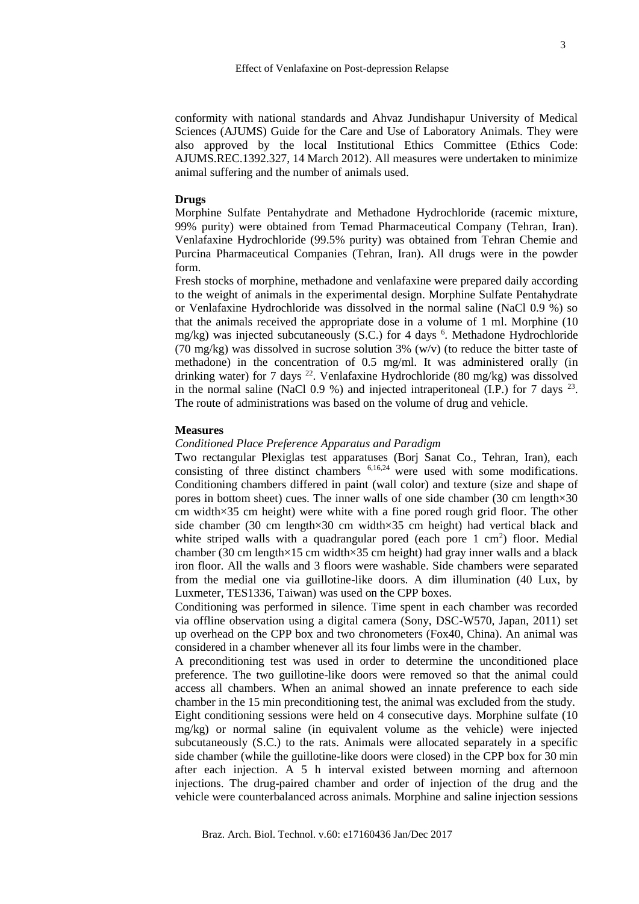conformity with national standards and Ahvaz Jundishapur University of Medical Sciences (AJUMS) Guide for the Care and Use of Laboratory Animals. They were also approved by the local Institutional Ethics Committee (Ethics Code: AJUMS.REC.1392.327, 14 March 2012). All measures were undertaken to minimize animal suffering and the number of animals used.

#### **Drugs**

Morphine Sulfate Pentahydrate and Methadone Hydrochloride (racemic mixture, 99% purity) were obtained from Temad Pharmaceutical Company (Tehran, Iran). Venlafaxine Hydrochloride (99.5% purity) was obtained from Tehran Chemie and Purcina Pharmaceutical Companies (Tehran, Iran). All drugs were in the powder form.

Fresh stocks of morphine, methadone and venlafaxine were prepared daily according to the weight of animals in the experimental design. Morphine Sulfate Pentahydrate or Venlafaxine Hydrochloride was dissolved in the normal saline (NaCl 0.9 %) so that the animals received the appropriate dose in a volume of 1 ml. Morphine (10 mg/kg) was injected subcutaneously (S.C.) for 4 days <sup>6</sup>. Methadone Hydrochloride (70 mg/kg) was dissolved in sucrose solution 3% (w/v) (to reduce the bitter taste of methadone) in the concentration of 0.5 mg/ml. It was administered orally (in drinking water) for 7 days  $^{22}$ . Venlafaxine Hydrochloride (80 mg/kg) was dissolved in the normal saline (NaCl 0.9 %) and injected intraperitoneal (I.P.) for 7 days  $^{23}$ . The route of administrations was based on the volume of drug and vehicle.

### **Measures**

#### *Conditioned Place Preference Apparatus and Paradigm*

Two rectangular Plexiglas test apparatuses (Borj Sanat Co., Tehran, Iran), each consisting of three distinct chambers 6,16,24 were used with some modifications. Conditioning chambers differed in paint (wall color) and texture (size and shape of pores in bottom sheet) cues. The inner walls of one side chamber (30 cm length×30 cm width×35 cm height) were white with a fine pored rough grid floor. The other side chamber (30 cm length×30 cm width×35 cm height) had vertical black and white striped walls with a quadrangular pored (each pore  $1 \text{ cm}^2$ ) floor. Medial chamber (30 cm length×15 cm width×35 cm height) had gray inner walls and a black iron floor. All the walls and 3 floors were washable. Side chambers were separated from the medial one via guillotine-like doors. A dim illumination (40 Lux, by Luxmeter, TES1336, Taiwan) was used on the CPP boxes.

Conditioning was performed in silence. Time spent in each chamber was recorded via offline observation using a digital camera (Sony, DSC-W570, Japan, 2011) set up overhead on the CPP box and two chronometers (Fox40, China). An animal was considered in a chamber whenever all its four limbs were in the chamber.

A preconditioning test was used in order to determine the unconditioned place preference. The two guillotine-like doors were removed so that the animal could access all chambers. When an animal showed an innate preference to each side chamber in the 15 min preconditioning test, the animal was excluded from the study.

Eight conditioning sessions were held on 4 consecutive days. Morphine sulfate (10 mg/kg) or normal saline (in equivalent volume as the vehicle) were injected subcutaneously (S.C.) to the rats. Animals were allocated separately in a specific side chamber (while the guillotine-like doors were closed) in the CPP box for 30 min after each injection. A 5 h interval existed between morning and afternoon injections. The drug-paired chamber and order of injection of the drug and the vehicle were counterbalanced across animals. Morphine and saline injection sessions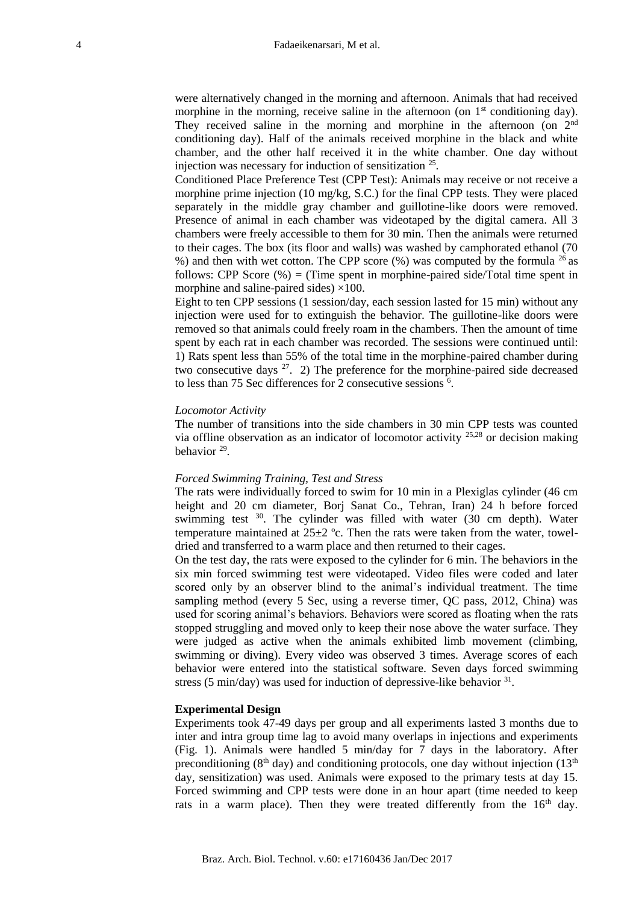were alternatively changed in the morning and afternoon. Animals that had received morphine in the morning, receive saline in the afternoon (on  $1<sup>st</sup>$  conditioning day). They received saline in the morning and morphine in the afternoon (on 2<sup>nd</sup> conditioning day). Half of the animals received morphine in the black and white chamber, and the other half received it in the white chamber. One day without injection was necessary for induction of sensitization <sup>25</sup> .

Conditioned Place Preference Test (CPP Test): Animals may receive or not receive a morphine prime injection (10 mg/kg, S.C.) for the final CPP tests. They were placed separately in the middle gray chamber and guillotine-like doors were removed. Presence of animal in each chamber was videotaped by the digital camera. All 3 chambers were freely accessible to them for 30 min. Then the animals were returned to their cages. The box (its floor and walls) was washed by camphorated ethanol (70 %) and then with wet cotton. The CPP score (%) was computed by the formula <sup>26</sup>as follows: CPP Score  $(\%)$  = (Time spent in morphine-paired side/Total time spent in morphine and saline-paired sides)  $\times$ 100.

Eight to ten CPP sessions (1 session/day, each session lasted for 15 min) without any injection were used for to extinguish the behavior. The guillotine-like doors were removed so that animals could freely roam in the chambers. Then the amount of time spent by each rat in each chamber was recorded. The sessions were continued until: 1) Rats spent less than 55% of the total time in the morphine-paired chamber during two consecutive days  $27$ . 2) The preference for the morphine-paired side decreased to less than 75 Sec differences for 2 consecutive sessions <sup>6</sup> .

### *Locomotor Activity*

The number of transitions into the side chambers in 30 min CPP tests was counted via offline observation as an indicator of locomotor activity  $25.28$  or decision making behavior<sup>29</sup>.

## *Forced Swimming Training, Test and Stress*

The rats were individually forced to swim for 10 min in a Plexiglas cylinder (46 cm height and 20 cm diameter, Borj Sanat Co., Tehran, Iran) 24 h before forced swimming test <sup>30</sup>. The cylinder was filled with water (30 cm depth). Water temperature maintained at  $25\pm2$  °c. Then the rats were taken from the water, toweldried and transferred to a warm place and then returned to their cages.

On the test day, the rats were exposed to the cylinder for 6 min. The behaviors in the six min forced swimming test were videotaped. Video files were coded and later scored only by an observer blind to the animal's individual treatment. The time sampling method (every 5 Sec, using a reverse timer, QC pass, 2012, China) was used for scoring animal's behaviors. Behaviors were scored as floating when the rats stopped struggling and moved only to keep their nose above the water surface. They were judged as active when the animals exhibited limb movement (climbing, swimming or diving). Every video was observed 3 times. Average scores of each behavior were entered into the statistical software. Seven days forced swimming stress (5 min/day) was used for induction of depressive-like behavior  $31$ .

#### **Experimental Design**

Experiments took 47-49 days per group and all experiments lasted 3 months due to inter and intra group time lag to avoid many overlaps in injections and experiments (Fig. 1). Animals were handled 5 min/day for 7 days in the laboratory. After preconditioning ( $8<sup>th</sup>$  day) and conditioning protocols, one day without injection ( $13<sup>th</sup>$ day, sensitization) was used. Animals were exposed to the primary tests at day 15. Forced swimming and CPP tests were done in an hour apart (time needed to keep rats in a warm place). Then they were treated differently from the 16<sup>th</sup> day.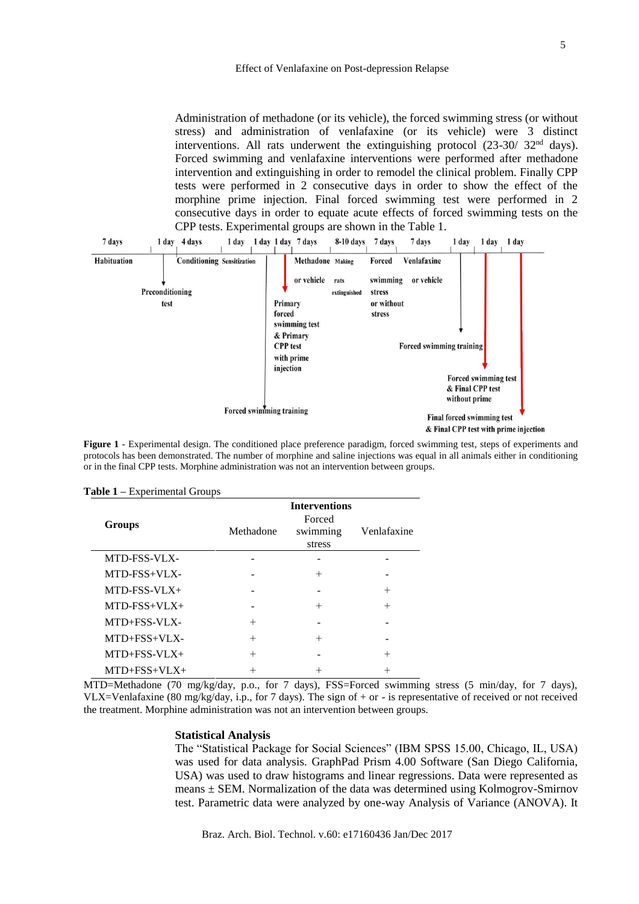Administration of methadone (or its vehicle), the forced swimming stress (or without stress) and administration of venlafaxine (or its vehicle) were 3 distinct interventions. All rats underwent the extinguishing protocol  $(23-30/32<sup>nd</sup> days)$ . Forced swimming and venlafaxine interventions were performed after methadone intervention and extinguishing in order to remodel the clinical problem. Finally CPP tests were performed in 2 consecutive days in order to show the effect of the morphine prime injection. Final forced swimming test were performed in 2 consecutive days in order to equate acute effects of forced swimming tests on the CPP tests. Experimental groups are shown in the Table 1.



**Figure 1** - Experimental design. The conditioned place preference paradigm, forced swimming test, steps of experiments and protocols has been demonstrated. The number of morphine and saline injections was equal in all animals either in conditioning or in the final CPP tests. Morphine administration was not an intervention between groups.

|                     | <b>Interventions</b> |                              |                    |  |  |
|---------------------|----------------------|------------------------------|--------------------|--|--|
| Groups              | Methadone            | Forced<br>swimming<br>stress | Venlafaxine        |  |  |
| MTD-FSS-VLX-        |                      |                              |                    |  |  |
| MTD-FSS+VLX-        |                      | $^{+}$                       |                    |  |  |
| $MTD-FSS-VLX+$      |                      |                              | $^{+}$             |  |  |
| $MTD-FSS+VLX+$      |                      | $^{+}$                       | $^{+}$             |  |  |
| MTD+FSS-VLX-        | $^{+}$               |                              |                    |  |  |
| $MTD + FSS + VLX -$ | $^{+}$               | $^{+}$                       |                    |  |  |
| $MTD + FSS - VLX +$ | $^{+}$               |                              | $\hspace{0.1mm} +$ |  |  |
| $MTD+FSS+VLX+$      |                      |                              | $^{+}$             |  |  |

**Table 1 –** Experimental Groups

MTD=Methadone (70 mg/kg/day, p.o., for 7 days), FSS=Forced swimming stress (5 min/day, for 7 days), VLX=Venlafaxine (80 mg/kg/day, i.p., for 7 days). The sign of + or - is representative of received or not received the treatment. Morphine administration was not an intervention between groups.

#### **Statistical Analysis**

The "Statistical Package for Social Sciences" (IBM SPSS 15.00, Chicago, IL, USA) was used for data analysis. GraphPad Prism 4.00 Software (San Diego California, USA) was used to draw histograms and linear regressions. Data were represented as means  $\pm$  SEM. Normalization of the data was determined using Kolmogrov-Smirnov test. Parametric data were analyzed by one-way Analysis of Variance (ANOVA). It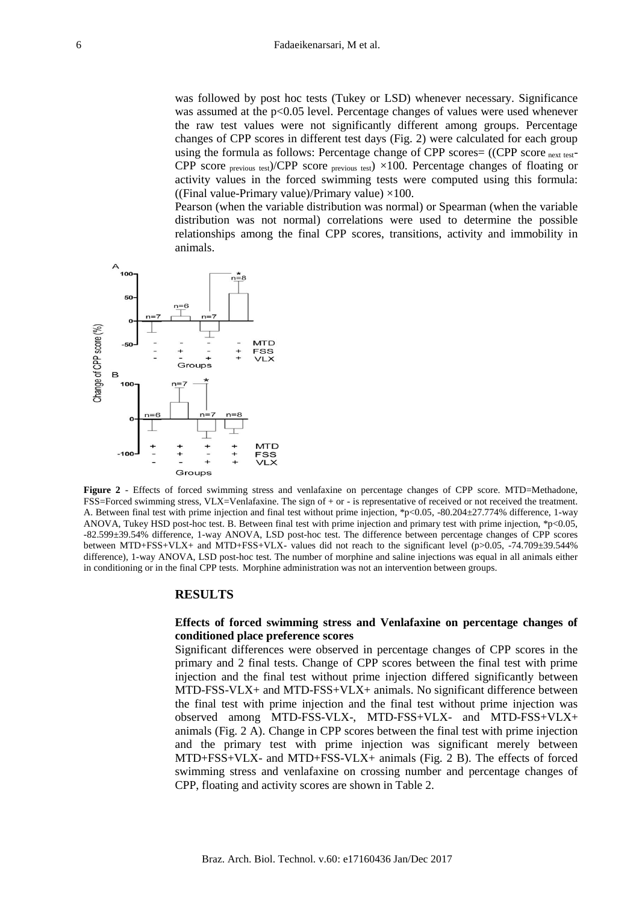was followed by post hoc tests (Tukey or LSD) whenever necessary. Significance was assumed at the p<0.05 level. Percentage changes of values were used whenever the raw test values were not significantly different among groups. Percentage changes of CPP scores in different test days (Fig. 2) were calculated for each group using the formula as follows: Percentage change of CPP scores=  $((CPP score<sub>next test</sub>-$ CPP score previous test)/CPP score previous test)  $\times 100$ . Percentage changes of floating or activity values in the forced swimming tests were computed using this formula: ((Final value-Primary value)/Primary value)  $\times 100$ .

Pearson (when the variable distribution was normal) or Spearman (when the variable distribution was not normal) correlations were used to determine the possible relationships among the final CPP scores, transitions, activity and immobility in animals.



**Figure 2** - Effects of forced swimming stress and venlafaxine on percentage changes of CPP score. MTD=Methadone, FSS=Forced swimming stress, VLX=Venlafaxine. The sign of + or - is representative of received or not received the treatment. A. Between final test with prime injection and final test without prime injection, \*p<0.05, -80.204±27.774% difference, 1-way ANOVA, Tukey HSD post-hoc test. B. Between final test with prime injection and primary test with prime injection, \*p<0.05, -82.599±39.54% difference, 1-way ANOVA, LSD post-hoc test. The difference between percentage changes of CPP scores between MTD+FSS+VLX+ and MTD+FSS+VLX- values did not reach to the significant level (p>0.05, -74.709±39.544% difference), 1-way ANOVA, LSD post-hoc test. The number of morphine and saline injections was equal in all animals either in conditioning or in the final CPP tests. Morphine administration was not an intervention between groups.

#### **RESULTS**

## **Effects of forced swimming stress and Venlafaxine on percentage changes of conditioned place preference scores**

Significant differences were observed in percentage changes of CPP scores in the primary and 2 final tests. Change of CPP scores between the final test with prime injection and the final test without prime injection differed significantly between MTD-FSS-VLX+ and MTD-FSS+VLX+ animals. No significant difference between the final test with prime injection and the final test without prime injection was observed among MTD-FSS-VLX-, MTD-FSS+VLX- and MTD-FSS+VLX+ animals (Fig. 2 A). Change in CPP scores between the final test with prime injection and the primary test with prime injection was significant merely between MTD+FSS+VLX- and MTD+FSS-VLX+ animals (Fig. 2 B). The effects of forced swimming stress and venlafaxine on crossing number and percentage changes of CPP, floating and activity scores are shown in Table 2.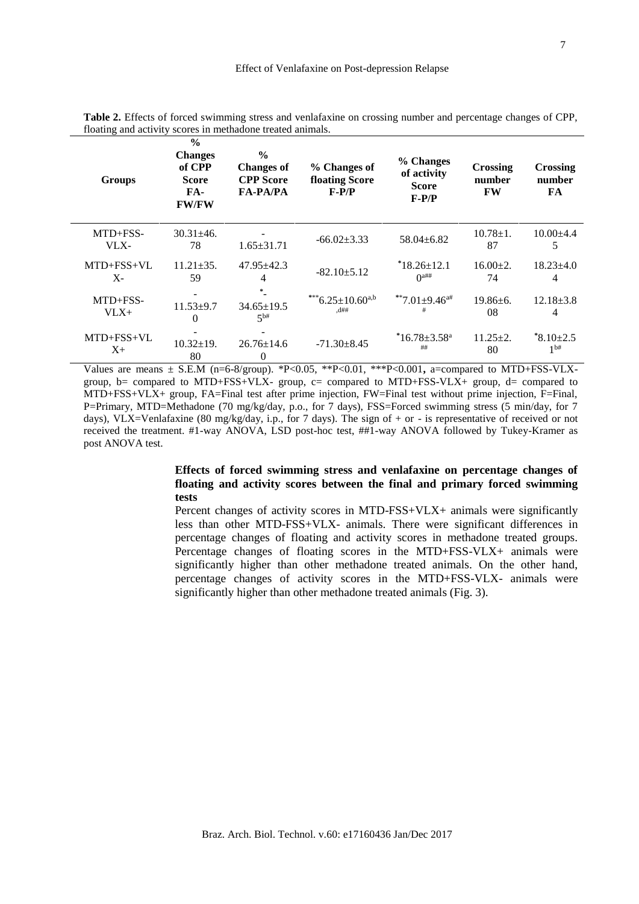| <b>Groups</b>    | $\frac{0}{0}$<br><b>Changes</b><br>of CPP<br><b>Score</b><br>$FA-$<br><b>FW/FW</b> | $\frac{6}{9}$<br><b>Changes of</b><br><b>CPP</b> Score<br><b>FA-PA/PA</b> | % Changes of<br>floating Score<br>$F-P/P$ | % Changes<br>of activity<br><b>Score</b><br>$F-P/P$ | Crossing<br>number<br><b>FW</b> | Crossing<br>number<br>FA |
|------------------|------------------------------------------------------------------------------------|---------------------------------------------------------------------------|-------------------------------------------|-----------------------------------------------------|---------------------------------|--------------------------|
| MTD+FSS-<br>VLX- | $30.31 \pm 46.$<br>78                                                              | $1.65 + 31.71$                                                            | $-66.02 \pm 3.33$                         | $58.04 + 6.82$                                      | $10.78 \pm 1.$<br>87            | $10.00\pm4.4$<br>5       |
| $MTD + FSS + VL$ | $11.21 \pm 35.$                                                                    | $47.95 + 42.3$                                                            | $-82.10+5.12$                             | $*18.26 \pm 12.1$                                   | $16.00+2.$                      | $18.23 + 4.0$            |
| $X-$             | 59                                                                                 | 4                                                                         |                                           | $\Omega$ <sup><math>\text{#}\#</math></sup>         | 74                              | 4                        |
| $MTD + FSS -$    | $11.53 + 9.7$                                                                      | $34.65 \pm 19.5$                                                          | ***6.25±10.60a,b                          | **7.01 $\pm$ 9.46 <sup>a#</sup>                     | $19.86 \pm 6.$                  | $12.18 + 3.8$            |
| $V L X +$        | $\theta$                                                                           | $5^{b#}$                                                                  | d##                                       | #                                                   | 08                              | 4                        |
| MTD+FSS+VL       | $10.32 \pm 19$ .                                                                   | $26.76 \pm 14.6$                                                          | $-71.30 \pm 8.45$                         | $*16.78 \pm 3.58$ <sup>a</sup>                      | $11.25 \pm 2.$                  | $*8.10 \pm 2.5$          |
| $X_{\pm}$        | 80                                                                                 | $\theta$                                                                  |                                           | ##                                                  | 80                              | 1 <sup>bt#</sup>         |

**Table 2.** Effects of forced swimming stress and venlafaxine on crossing number and percentage changes of CPP, floating and activity scores in methadone treated animals.

Values are means ± S.E.M (n=6-8/group). \*P<0.05, \*\*P<0.01, \*\*\*P<0.001**,** a=compared to MTD+FSS-VLXgroup, b= compared to MTD+FSS+VLX- group, c= compared to MTD+FSS-VLX+ group, d= compared to MTD+FSS+VLX+ group, FA=Final test after prime injection, FW=Final test without prime injection, F=Final, P=Primary, MTD=Methadone (70 mg/kg/day, p.o., for 7 days), FSS=Forced swimming stress (5 min/day, for 7 days), VLX=Venlafaxine (80 mg/kg/day, i.p., for 7 days). The sign of  $+$  or - is representative of received or not received the treatment. #1-way ANOVA, LSD post-hoc test, ##1-way ANOVA followed by Tukey-Kramer as post ANOVA test.

## **Effects of forced swimming stress and venlafaxine on percentage changes of floating and activity scores between the final and primary forced swimming tests**

Percent changes of activity scores in MTD-FSS+VLX+ animals were significantly less than other MTD-FSS+VLX- animals. There were significant differences in percentage changes of floating and activity scores in methadone treated groups. Percentage changes of floating scores in the MTD+FSS-VLX+ animals were significantly higher than other methadone treated animals. On the other hand, percentage changes of activity scores in the MTD+FSS-VLX- animals were significantly higher than other methadone treated animals (Fig. 3).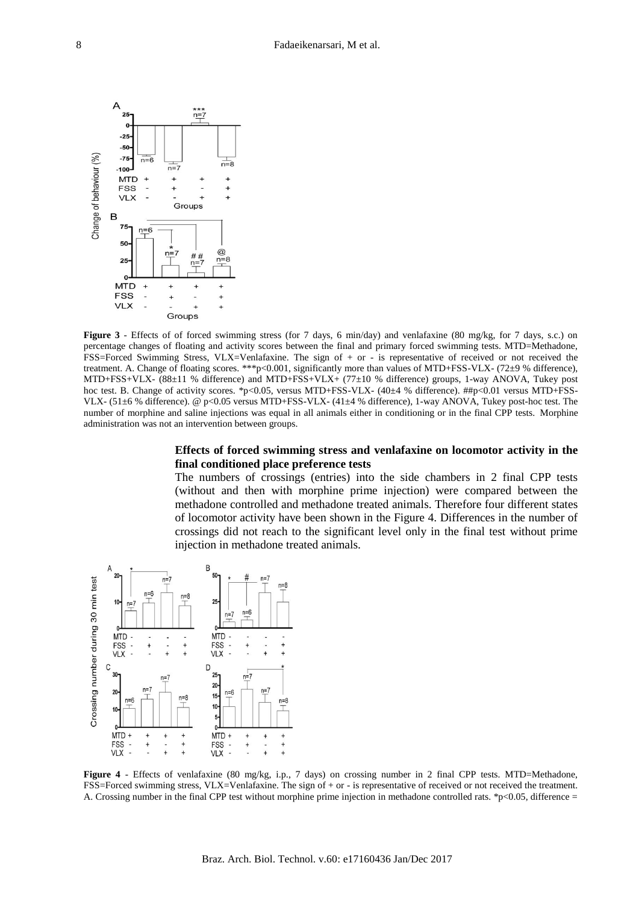

**Figure 3** - Effects of of forced swimming stress (for 7 days, 6 min/day) and venlafaxine (80 mg/kg, for 7 days, s.c.) on percentage changes of floating and activity scores between the final and primary forced swimming tests. MTD=Methadone, FSS=Forced Swimming Stress, VLX=Venlafaxine. The sign of + or - is representative of received or not received the treatment. A. Change of floating scores. \*\*\*p<0.001, significantly more than values of MTD+FSS-VLX- (72±9 % difference), MTD+FSS+VLX- (88±11 % difference) and MTD+FSS+VLX+ (77±10 % difference) groups, 1-way ANOVA, Tukey post hoc test. B. Change of activity scores. \*p<0.05, versus MTD+FSS-VLX- (40±4 % difference). ##p<0.01 versus MTD+FSS-VLX- (51±6 % difference). @ p<0.05 versus MTD+FSS-VLX- (41±4 % difference), 1-way ANOVA, Tukey post-hoc test. The number of morphine and saline injections was equal in all animals either in conditioning or in the final CPP tests. Morphine administration was not an intervention between groups.

## **Effects of forced swimming stress and venlafaxine on locomotor activity in the final conditioned place preference tests**

The numbers of crossings (entries) into the side chambers in 2 final CPP tests (without and then with morphine prime injection) were compared between the methadone controlled and methadone treated animals. Therefore four different states of locomotor activity have been shown in the Figure 4. Differences in the number of crossings did not reach to the significant level only in the final test without prime injection in methadone treated animals.



**Figure 4** - Effects of venlafaxine (80 mg/kg, i.p., 7 days) on crossing number in 2 final CPP tests. MTD=Methadone, FSS=Forced swimming stress, VLX=Venlafaxine. The sign of + or - is representative of received or not received the treatment. A. Crossing number in the final CPP test without morphine prime injection in methadone controlled rats. \*p<0.05, difference =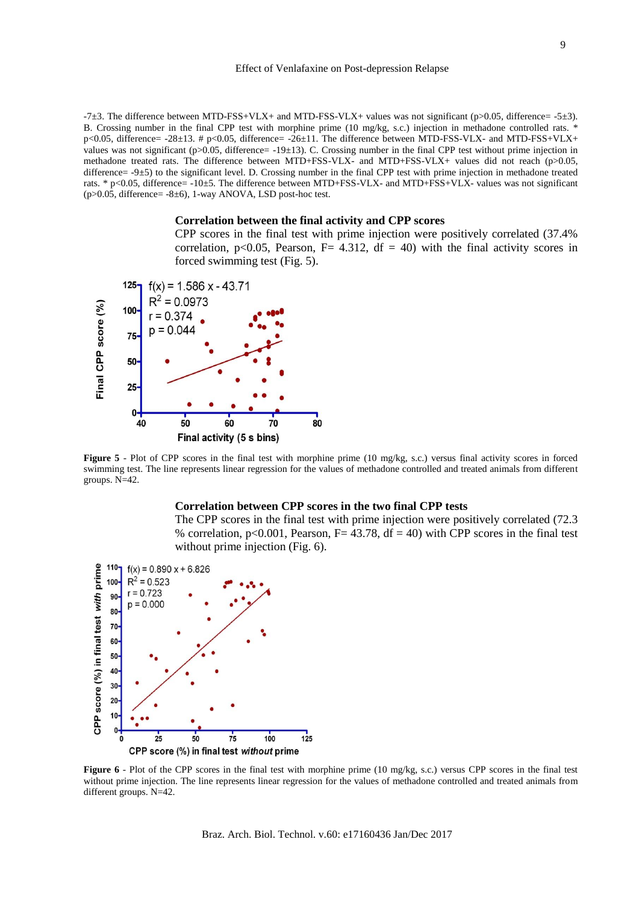#### Effect of Venlafaxine on Post-depression Relapse

-7 $\pm$ 3. The difference between MTD-FSS+VLX+ and MTD-FSS-VLX+ values was not significant (p>0.05, difference= -5 $\pm$ 3). B. Crossing number in the final CPP test with morphine prime (10 mg/kg, s.c.) injection in methadone controlled rats. \* p<0.05, difference= -28±13. # p<0.05, difference= -26±11. The difference between MTD-FSS-VLX- and MTD-FSS+VLX+ values was not significant (p>0.05, difference=  $-19\pm13$ ). C. Crossing number in the final CPP test without prime injection in methadone treated rats. The difference between MTD+FSS-VLX- and MTD+FSS-VLX+ values did not reach (p>0.05, difference=  $-9±5$ ) to the significant level. D. Crossing number in the final CPP test with prime injection in methadone treated rats. \* p<0.05, difference= -10±5. The difference between MTD+FSS-VLX- and MTD+FSS+VLX- values was not significant  $(p>0.05,$  difference=  $-8±6$ ), 1-way ANOVA, LSD post-hoc test.

#### **Correlation between the final activity and CPP scores**

CPP scores in the final test with prime injection were positively correlated (37.4% correlation, p<0.05, Pearson, F= 4.312, df = 40) with the final activity scores in forced swimming test (Fig. 5).



**Figure 5** - Plot of CPP scores in the final test with morphine prime (10 mg/kg, s.c.) versus final activity scores in forced swimming test. The line represents linear regression for the values of methadone controlled and treated animals from different groups. N=42.

#### **Correlation between CPP scores in the two final CPP tests**

The CPP scores in the final test with prime injection were positively correlated (72.3 % correlation,  $p<0.001$ , Pearson, F= 43.78, df = 40) with CPP scores in the final test without prime injection (Fig. 6).



**Figure 6** - Plot of the CPP scores in the final test with morphine prime (10 mg/kg, s.c.) versus CPP scores in the final test without prime injection. The line represents linear regression for the values of methadone controlled and treated animals from different groups. N=42.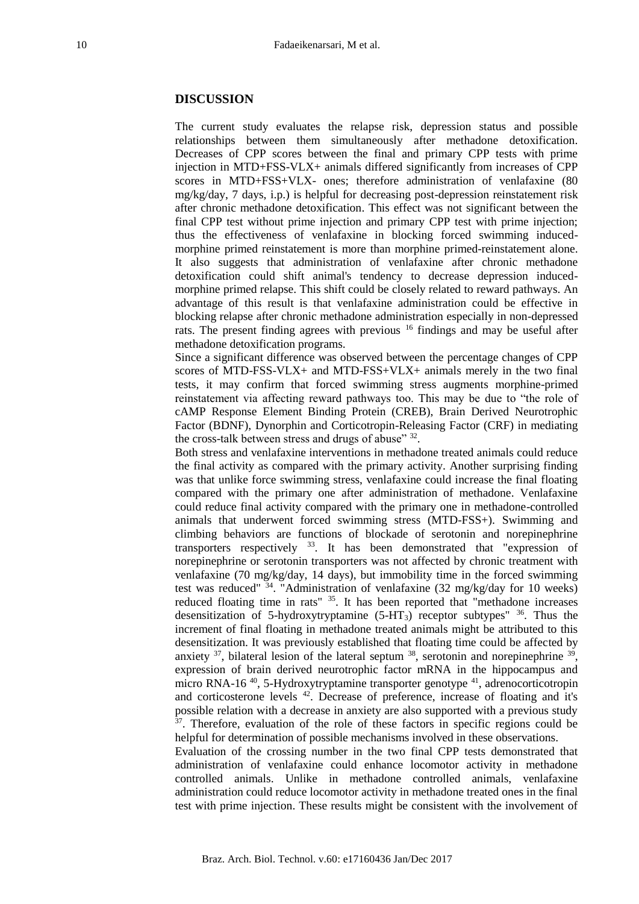## **DISCUSSION**

The current study evaluates the relapse risk, depression status and possible relationships between them simultaneously after methadone detoxification. Decreases of CPP scores between the final and primary CPP tests with prime injection in MTD+FSS-VLX+ animals differed significantly from increases of CPP scores in MTD+FSS+VLX- ones; therefore administration of venlafaxine (80 mg/kg/day, 7 days, i.p.) is helpful for decreasing post-depression reinstatement risk after chronic methadone detoxification. This effect was not significant between the final CPP test without prime injection and primary CPP test with prime injection; thus the effectiveness of venlafaxine in blocking forced swimming inducedmorphine primed reinstatement is more than morphine primed-reinstatement alone. It also suggests that administration of venlafaxine after chronic methadone detoxification could shift animal's tendency to decrease depression inducedmorphine primed relapse. This shift could be closely related to reward pathways. An advantage of this result is that venlafaxine administration could be effective in blocking relapse after chronic methadone administration especially in non-depressed rats. The present finding agrees with previous <sup>16</sup> findings and may be useful after methadone detoxification programs.

Since a significant difference was observed between the percentage changes of CPP scores of MTD-FSS-VLX+ and MTD-FSS+VLX+ animals merely in the two final tests, it may confirm that forced swimming stress augments morphine-primed reinstatement via affecting reward pathways too. This may be due to "the role of cAMP Response Element Binding Protein (CREB), Brain Derived Neurotrophic Factor (BDNF), Dynorphin and Corticotropin-Releasing Factor (CRF) in mediating the cross-talk between stress and drugs of abuse" 32.

Both stress and venlafaxine interventions in methadone treated animals could reduce the final activity as compared with the primary activity. Another surprising finding was that unlike force swimming stress, venlafaxine could increase the final floating compared with the primary one after administration of methadone. Venlafaxine could reduce final activity compared with the primary one in methadone-controlled animals that underwent forced swimming stress (MTD-FSS+). Swimming and climbing behaviors are functions of blockade of serotonin and norepinephrine transporters respectively  $33$ . It has been demonstrated that "expression of norepinephrine or serotonin transporters was not affected by chronic treatment with venlafaxine (70 mg/kg/day, 14 days), but immobility time in the forced swimming test was reduced"  $34$ . "Administration of venlafaxine (32 mg/kg/day for 10 weeks) reduced floating time in rats" <sup>35</sup>. It has been reported that "methadone increases desensitization of 5-hydroxytryptamine (5-HT3) receptor subtypes" <sup>36</sup>. Thus the increment of final floating in methadone treated animals might be attributed to this desensitization. It was previously established that floating time could be affected by anxiety  $37$ , bilateral lesion of the lateral septum  $38$ , serotonin and norepinephrine  $39$ , expression of brain derived neurotrophic factor mRNA in the hippocampus and micro RNA-16<sup>40</sup>, 5-Hydroxytryptamine transporter genotype<sup>41</sup>, adrenocorticotropin and corticosterone levels <sup>42</sup>. Decrease of preference, increase of floating and it's possible relation with a decrease in anxiety are also supported with a previous study <sup>37</sup>. Therefore, evaluation of the role of these factors in specific regions could be helpful for determination of possible mechanisms involved in these observations.

Evaluation of the crossing number in the two final CPP tests demonstrated that administration of venlafaxine could enhance locomotor activity in methadone controlled animals. Unlike in methadone controlled animals, venlafaxine administration could reduce locomotor activity in methadone treated ones in the final test with prime injection. These results might be consistent with the involvement of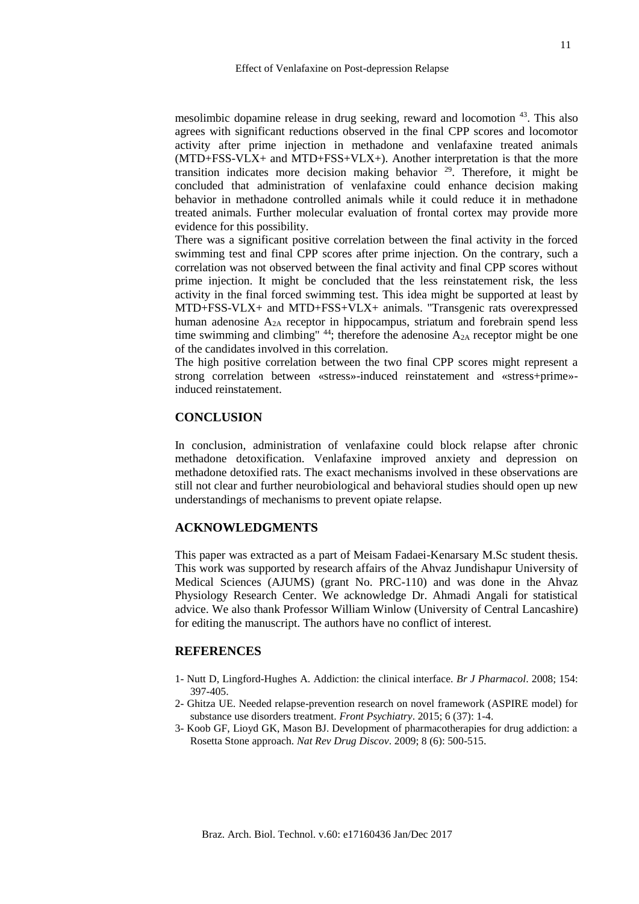mesolimbic dopamine release in drug seeking, reward and locomotion <sup>43</sup>. This also agrees with significant reductions observed in the final CPP scores and locomotor activity after prime injection in methadone and venlafaxine treated animals (MTD+FSS-VLX+ and MTD+FSS+VLX+). Another interpretation is that the more transition indicates more decision making behavior  $29$ . Therefore, it might be concluded that administration of venlafaxine could enhance decision making behavior in methadone controlled animals while it could reduce it in methadone treated animals. Further molecular evaluation of frontal cortex may provide more evidence for this possibility.

There was a significant positive correlation between the final activity in the forced swimming test and final CPP scores after prime injection. On the contrary, such a correlation was not observed between the final activity and final CPP scores without prime injection. It might be concluded that the less reinstatement risk, the less activity in the final forced swimming test. This idea might be supported at least by MTD+FSS-VLX+ and MTD+FSS+VLX+ animals. "Transgenic rats overexpressed human adenosine A2A receptor in hippocampus, striatum and forebrain spend less time swimming and climbing"  $44$ ; therefore the adenosine  $A_{2A}$  receptor might be one of the candidates involved in this correlation.

The high positive correlation between the two final CPP scores might represent a strong correlation between «stress»-induced reinstatement and «stress+prime» induced reinstatement.

## **CONCLUSION**

In conclusion, administration of venlafaxine could block relapse after chronic methadone detoxification. Venlafaxine improved anxiety and depression on methadone detoxified rats. The exact mechanisms involved in these observations are still not clear and further neurobiological and behavioral studies should open up new understandings of mechanisms to prevent opiate relapse.

## **ACKNOWLEDGMENTS**

This paper was extracted as a part of Meisam Fadaei-Kenarsary M.Sc student thesis. This work was supported by research affairs of the Ahvaz Jundishapur University of Medical Sciences (AJUMS) (grant No. PRC-110) and was done in the Ahvaz Physiology Research Center. We acknowledge Dr. Ahmadi Angali for statistical advice. We also thank Professor William Winlow (University of Central Lancashire) for editing the manuscript. The authors have no conflict of interest.

## **REFERENCES**

- 1- Nutt D, Lingford-Hughes A. Addiction: the clinical interface. *Br J Pharmacol*. 2008; 154: 397-405.
- 2- Ghitza UE. Needed relapse-prevention research on novel framework (ASPIRE model) for substance use disorders treatment. *Front Psychiatry*. 2015; 6 (37): 1-4.
- 3- Koob GF, Lioyd GK, Mason BJ. Development of pharmacotherapies for drug addiction: a Rosetta Stone approach. *Nat Rev Drug Discov*. 2009; 8 (6): 500-515.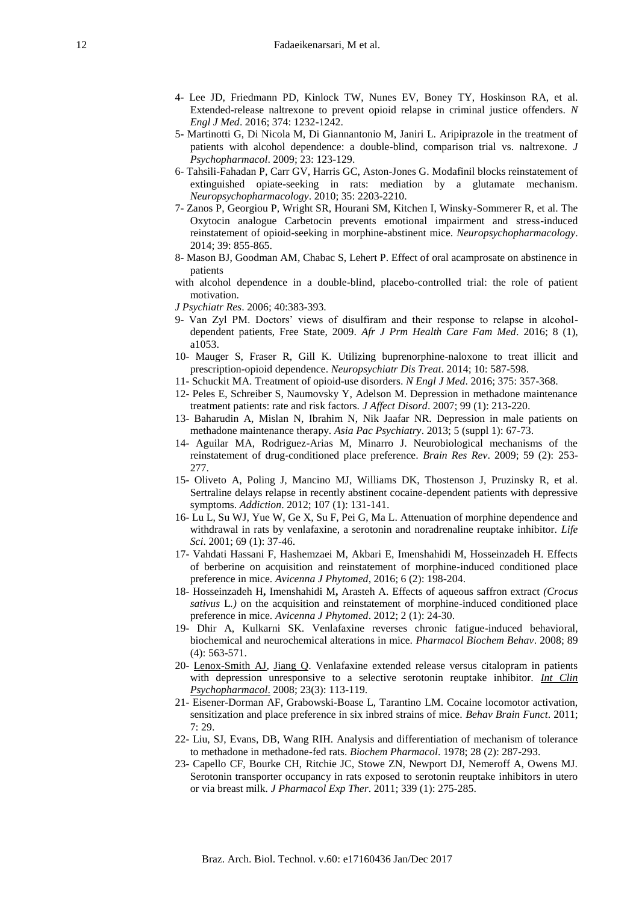- 4- Lee JD, Friedmann PD, Kinlock TW, Nunes EV, Boney TY, Hoskinson RA, et al. Extended-release naltrexone to prevent opioid relapse in criminal justice offenders. *N Engl J Med*. 2016; 374: 1232-1242.
- 5**-** Martinotti G, Di Nicola M, Di Giannantonio M, Janiri L. Aripiprazole in the treatment of patients with alcohol dependence: a double-blind, comparison trial vs. naltrexone. *J Psychopharmacol*. 2009; 23: 123-129.
- 6- Tahsili-Fahadan P, Carr GV, Harris GC, Aston-Jones G. Modafinil blocks reinstatement of extinguished opiate-seeking in rats: mediation by a glutamate mechanism. *Neuropsychopharmacology*. 2010; 35: 2203-2210.
- 7- Zanos P, Georgiou P, Wright SR, Hourani SM, Kitchen I, Winsky-Sommerer R, et al. The Oxytocin analogue Carbetocin prevents emotional impairment and stress-induced reinstatement of opioid-seeking in morphine-abstinent mice. *Neuropsychopharmacology*. 2014; 39: 855-865.
- 8- Mason BJ, Goodman AM, Chabac S, Lehert P. Effect of oral acamprosate on abstinence in patients
- with alcohol dependence in a double-blind, placebo-controlled trial: the role of patient motivation.
- *J Psychiatr Res*. 2006; 40:383-393.
- 9- Van Zyl PM. Doctors' views of disulfiram and their response to relapse in alcoholdependent patients, Free State, 2009. *Afr J Prm Health Care Fam Med*. 2016; 8 (1), a1053.
- 10- Mauger S, Fraser R, Gill K. Utilizing buprenorphine-naloxone to treat illicit and prescription-opioid dependence. *Neuropsychiatr Dis Treat*. 2014; 10: 587-598.
- 11- Schuckit MA. Treatment of opioid-use disorders. *N Engl J Med*. 2016; 375: 357-368.
- 12- Peles E, Schreiber S, Naumovsky Y, Adelson M. Depression in methadone maintenance treatment patients: rate and risk factors. *J Affect Disord*. 2007; 99 (1): 213-220.
- 13- Baharudin A, Mislan N, Ibrahim N, Nik Jaafar NR. Depression in male patients on methadone maintenance therapy. *Asia Pac Psychiatry*. 2013; 5 (suppl 1): 67-73.
- 14- Aguilar MA, Rodriguez-Arias M, Minarro J. Neurobiological mechanisms of the reinstatement of drug-conditioned place preference. *Brain Res Rev*. 2009; 59 (2): 253- 277.
- 15- Oliveto A, Poling J, Mancino MJ, Williams DK, Thostenson J, Pruzinsky R, et al. Sertraline delays relapse in recently abstinent cocaine-dependent patients with depressive symptoms. *Addiction*. 2012; 107 (1): 131-141.
- 16- Lu L, Su WJ, Yue W, Ge X, Su F, Pei G, Ma L. Attenuation of morphine dependence and withdrawal in rats by venlafaxine, a serotonin and noradrenaline reuptake inhibitor. *Life Sci*. 2001; 69 (1): 37-46.
- 17- Vahdati Hassani F, Hashemzaei M, Akbari E, Imenshahidi M, Hosseinzadeh H. Effects of berberine on acquisition and reinstatement of morphine-induced conditioned place preference in mice. *Avicenna J Phytomed*, 2016; 6 (2): 198-204.
- 18- Hosseinzadeh H**,** Imenshahidi M**,** Arasteh A. Effects of aqueous saffron extract *(Crocus sativus* L*.)* on the acquisition and reinstatement of morphine-induced conditioned place preference in mice. *Avicenna J Phytomed*. 2012; 2 (1): 24-30.
- 19- Dhir A, Kulkarni SK. Venlafaxine reverses chronic fatigue-induced behavioral, biochemical and neurochemical alterations in mice. *Pharmacol Biochem Behav*. 2008; 89 (4): 563-571.
- 20- [Lenox-Smith AJ,](http://www.ncbi.nlm.nih.gov/pubmed/?term=Lenox-Smith%20AJ%5BAuthor%5D&cauthor=true&cauthor_uid=18408525) [Jiang Q.](http://www.ncbi.nlm.nih.gov/pubmed/?term=Jiang%20Q%5BAuthor%5D&cauthor=true&cauthor_uid=18408525) Venlafaxine extended release versus citalopram in patients with depression unresponsive to a selective serotonin reuptake inhibitor. *[Int Clin](http://www.ncbi.nlm.nih.gov/pubmed/18408525)  [Psychopharmacol](http://www.ncbi.nlm.nih.gov/pubmed/18408525)*. 2008; 23(3): 113-119.
- 21- Eisener-Dorman AF, Grabowski-Boase L, Tarantino LM. Cocaine locomotor activation, sensitization and place preference in six inbred strains of mice. *Behav Brain Funct*. 2011; 7: 29.
- 22- Liu, SJ, Evans, DB, Wang RIH. Analysis and differentiation of mechanism of tolerance to methadone in methadone-fed rats. *Biochem Pharmacol*. 1978; 28 (2): 287-293.
- 23- Capello CF, Bourke CH, Ritchie JC, Stowe ZN, Newport DJ, Nemeroff A, Owens MJ. Serotonin transporter occupancy in rats exposed to serotonin reuptake inhibitors in utero or via breast milk. *J Pharmacol Exp Ther*. 2011; 339 (1): 275-285.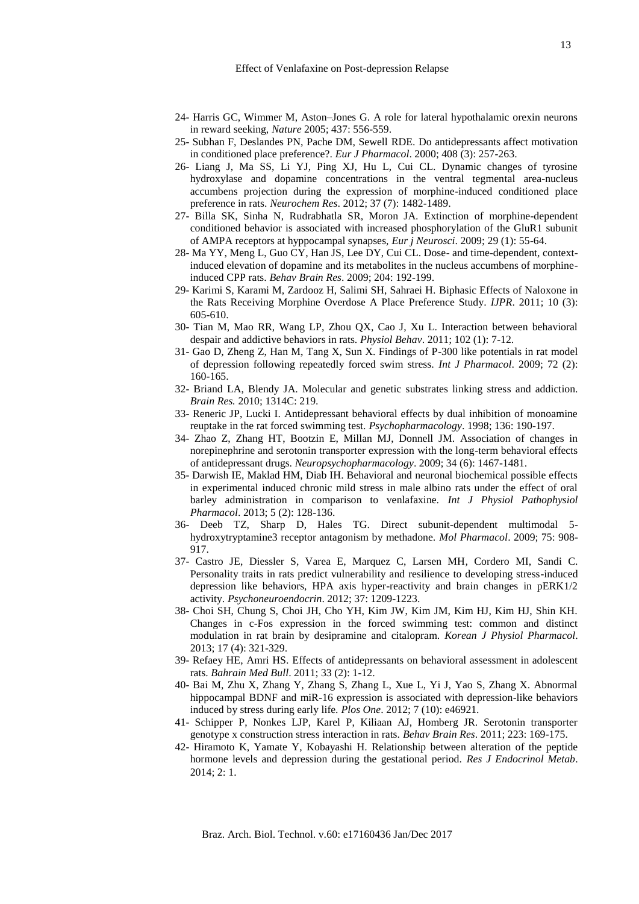- 24- Harris GC, Wimmer M, Aston–Jones G. A role for lateral hypothalamic orexin neurons in reward seeking, *Nature* 2005; 437: 556-559.
- 25- Subhan F, Deslandes PN, Pache DM, Sewell RDE. Do antidepressants affect motivation in conditioned place preference?. *Eur J Pharmacol*. 2000; 408 (3): 257-263.
- 26- Liang J, Ma SS, Li YJ, Ping XJ, Hu L, Cui CL. Dynamic changes of tyrosine hydroxylase and dopamine concentrations in the ventral tegmental area-nucleus accumbens projection during the expression of morphine-induced conditioned place preference in rats. *Neurochem Res*. 2012; 37 (7): 1482-1489.
- 27- Billa SK, Sinha N, Rudrabhatla SR, Moron JA. Extinction of morphine-dependent conditioned behavior is associated with increased phosphorylation of the GluR1 subunit of AMPA receptors at hyppocampal synapses, *Eur j Neurosci*. 2009; 29 (1): 55-64.
- 28- Ma YY, Meng L, Guo CY, Han JS, Lee DY, Cui CL. Dose- and time-dependent, contextinduced elevation of dopamine and its metabolites in the nucleus accumbens of morphineinduced CPP rats. *Behav Brain Res*. 2009; 204: 192-199.
- 29- Karimi S, Karami M, Zardooz H, Salimi SH, Sahraei H. Biphasic Effects of Naloxone in the Rats Receiving Morphine Overdose A Place Preference Study. *IJPR*. 2011; 10 (3): 605-610.
- 30- Tian M, Mao RR, Wang LP, Zhou QX, Cao J, Xu L. Interaction between behavioral despair and addictive behaviors in rats. *Physiol Behav*. 2011; 102 (1): 7-12.
- 31- Gao D, Zheng Z, Han M, Tang X, Sun X. Findings of P-300 like potentials in rat model of depression following repeatedly forced swim stress. *Int J Pharmacol*. 2009; 72 (2): 160-165.
- 32- Briand LA, Blendy JA. Molecular and genetic substrates linking stress and addiction. *Brain Res.* 2010; 1314C: 219.
- 33- Reneric JP, Lucki I. Antidepressant behavioral effects by dual inhibition of monoamine reuptake in the rat forced swimming test. *Psychopharmacology*. 1998; 136: 190-197.
- 34- Zhao Z, Zhang HT, Bootzin E, Millan MJ, Donnell JM. Association of changes in norepinephrine and serotonin transporter expression with the long-term behavioral effects of antidepressant drugs. *Neuropsychopharmacology*. 2009; 34 (6): 1467-1481.
- 35- Darwish IE, Maklad HM, Diab IH. Behavioral and neuronal biochemical possible effects in experimental induced chronic mild stress in male albino rats under the effect of oral barley administration in comparison to venlafaxine. *Int J Physiol Pathophysiol Pharmacol*. 2013; 5 (2): 128-136.
- 36- Deeb TZ, Sharp D, Hales TG. Direct subunit-dependent multimodal 5 hydroxytryptamine3 receptor antagonism by methadone. *Mol Pharmacol*. 2009; 75: 908- 917.
- 37- Castro JE, Diessler S, Varea E, Marquez C, Larsen MH*,* Cordero MI, Sandi C. Personality traits in rats predict vulnerability and resilience to developing stress-induced depression like behaviors, HPA axis hyper-reactivity and brain changes in pERK1/2 activity. *Psychoneuroendocrin*. 2012; 37: 1209-1223.
- 38- Choi SH, Chung S, Choi JH, Cho YH, Kim JW, Kim JM, Kim HJ, Kim HJ, Shin KH. Changes in c-Fos expression in the forced swimming test: common and distinct modulation in rat brain by desipramine and citalopram. *Korean J Physiol Pharmacol*. 2013; 17 (4): 321-329.
- 39- Refaey HE, Amri HS. Effects of antidepressants on behavioral assessment in adolescent rats. *Bahrain Med Bull*. 2011; 33 (2): 1-12.
- 40- Bai M, Zhu X, Zhang Y, Zhang S, Zhang L, Xue L, Yi J, Yao S, Zhang X. Abnormal hippocampal BDNF and miR-16 expression is associated with depression-like behaviors induced by stress during early life. *Plos One*. 2012; 7 (10): e46921.
- 41- Schipper P, Nonkes LJP, Karel P, Kiliaan AJ, Homberg JR. Serotonin transporter genotype x construction stress interaction in rats. *Behav Brain Res*. 2011; 223: 169-175.
- 42- Hiramoto K, Yamate Y, Kobayashi H. Relationship between alteration of the peptide hormone levels and depression during the gestational period. *Res J Endocrinol Metab*. 2014; 2: 1.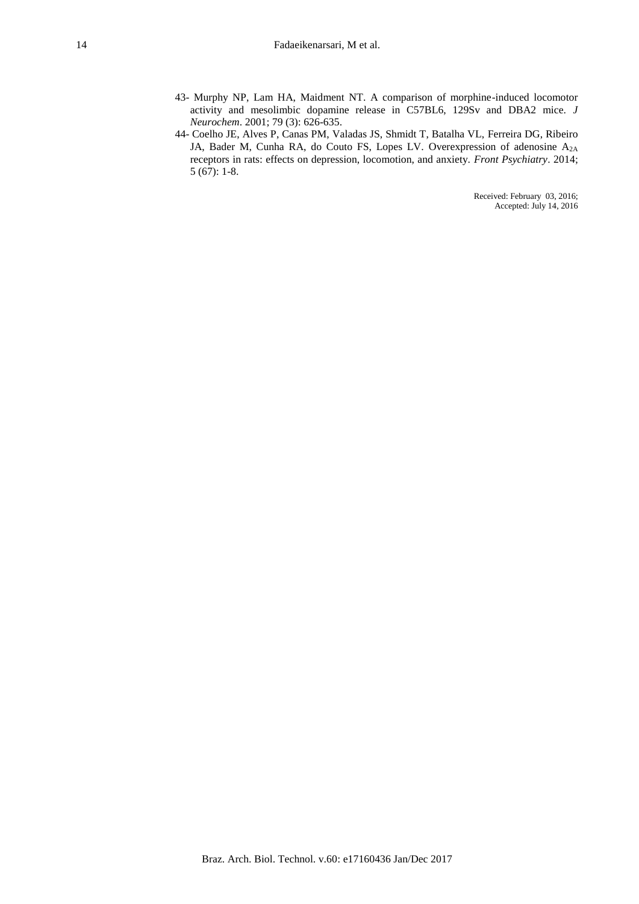- 43- Murphy NP, Lam HA, Maidment NT. A comparison of morphine-induced locomotor activity and mesolimbic dopamine release in C57BL6, 129Sv and DBA2 mice. *J Neurochem*. 2001; 79 (3): 626-635.
- 44- Coelho JE, Alves P, Canas PM, Valadas JS, Shmidt T, Batalha VL, Ferreira DG, Ribeiro JA, Bader M, Cunha RA, do Couto FS, Lopes LV. Overexpression of adenosine A2A receptors in rats: effects on depression, locomotion, and anxiety. *Front Psychiatry*. 2014; 5 (67): 1-8.

Received: February 03, 2016; Accepted: July 14, 2016